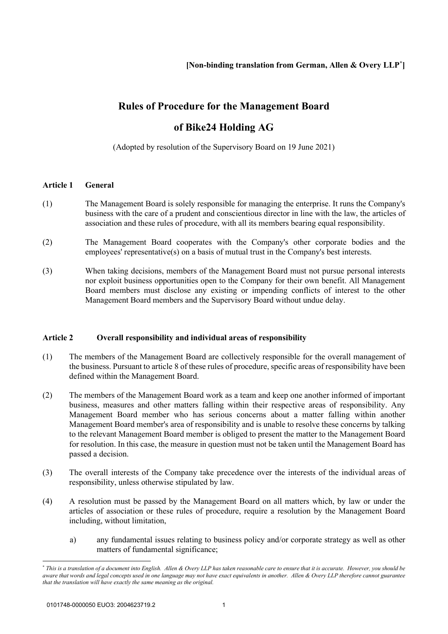# **Rules of Procedure for the Management Board**

# **of Bike24 Holding AG**

(Adopted by resolution of the Supervisory Board on 19 June 2021)

## **Article 1 General**

- (1) The Management Board is solely responsible for managing the enterprise. It runs the Company's business with the care of a prudent and conscientious director in line with the law, the articles of association and these rules of procedure, with all its members bearing equal responsibility.
- (2) The Management Board cooperates with the Company's other corporate bodies and the employees' representative(s) on a basis of mutual trust in the Company's best interests.
- (3) When taking decisions, members of the Management Board must not pursue personal interests nor exploit business opportunities open to the Company for their own benefit. All Management Board members must disclose any existing or impending conflicts of interest to the other Management Board members and the Supervisory Board without undue delay.

## **Article 2 Overall responsibility and individual areas of responsibility**

- (1) The members of the Management Board are collectively responsible for the overall management of the business. Pursuant to article 8 of these rules of procedure, specific areas of responsibility have been defined within the Management Board.
- (2) The members of the Management Board work as a team and keep one another informed of important business, measures and other matters falling within their respective areas of responsibility. Any Management Board member who has serious concerns about a matter falling within another Management Board member's area of responsibility and is unable to resolve these concerns by talking to the relevant Management Board member is obliged to present the matter to the Management Board for resolution. In this case, the measure in question must not be taken until the Management Board has passed a decision.
- (3) The overall interests of the Company take precedence over the interests of the individual areas of responsibility, unless otherwise stipulated by law.
- (4) A resolution must be passed by the Management Board on all matters which, by law or under the articles of association or these rules of procedure, require a resolution by the Management Board including, without limitation,
	- a) any fundamental issues relating to business policy and/or corporate strategy as well as other matters of fundamental significance;

<span id="page-0-0"></span><sup>\*</sup> *This is a translation of a document into English. Allen & Overy LLP has taken reasonable care to ensure that it is accurate. However, you should be aware that words and legal concepts used in one language may not have exact equivalents in another. Allen & Overy LLP therefore cannot guarantee that the translation will have exactly the same meaning as the original.*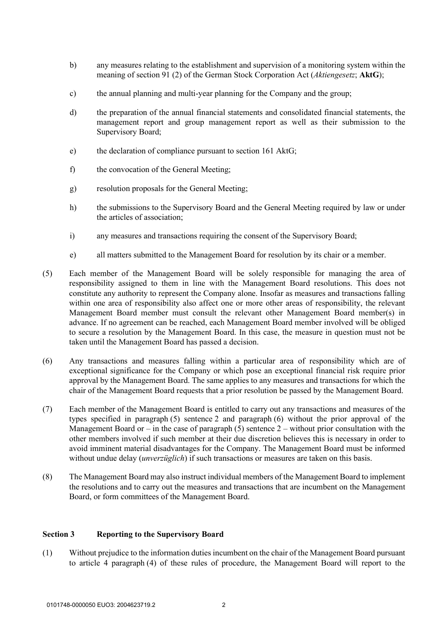- b) any measures relating to the establishment and supervision of a monitoring system within the meaning of section 91 (2) of the German Stock Corporation Act (*Aktiengesetz*; **AktG**);
- c) the annual planning and multi-year planning for the Company and the group;
- d) the preparation of the annual financial statements and consolidated financial statements, the management report and group management report as well as their submission to the Supervisory Board;
- e) the declaration of compliance pursuant to section 161 AktG;
- f) the convocation of the General Meeting;
- g) resolution proposals for the General Meeting;
- h) the submissions to the Supervisory Board and the General Meeting required by law or under the articles of association;
- i) any measures and transactions requiring the consent of the Supervisory Board;
- e) all matters submitted to the Management Board for resolution by its chair or a member.
- (5) Each member of the Management Board will be solely responsible for managing the area of responsibility assigned to them in line with the Management Board resolutions. This does not constitute any authority to represent the Company alone. Insofar as measures and transactions falling within one area of responsibility also affect one or more other areas of responsibility, the relevant Management Board member must consult the relevant other Management Board member(s) in advance. If no agreement can be reached, each Management Board member involved will be obliged to secure a resolution by the Management Board. In this case, the measure in question must not be taken until the Management Board has passed a decision.
- (6) Any transactions and measures falling within a particular area of responsibility which are of exceptional significance for the Company or which pose an exceptional financial risk require prior approval by the Management Board. The same applies to any measures and transactions for which the chair of the Management Board requests that a prior resolution be passed by the Management Board.
- (7) Each member of the Management Board is entitled to carry out any transactions and measures of the types specified in paragraph (5) sentence 2 and paragraph (6) without the prior approval of the Management Board or – in the case of paragraph (5) sentence  $2$  – without prior consultation with the other members involved if such member at their due discretion believes this is necessary in order to avoid imminent material disadvantages for the Company. The Management Board must be informed without undue delay (*unverzüglich*) if such transactions or measures are taken on this basis.
- (8) The Management Board may also instruct individual members of the Management Board to implement the resolutions and to carry out the measures and transactions that are incumbent on the Management Board, or form committees of the Management Board.

#### **Section 3 Reporting to the Supervisory Board**

(1) Without prejudice to the information duties incumbent on the chair of the Management Board pursuant to article 4 paragraph (4) of these rules of procedure, the Management Board will report to the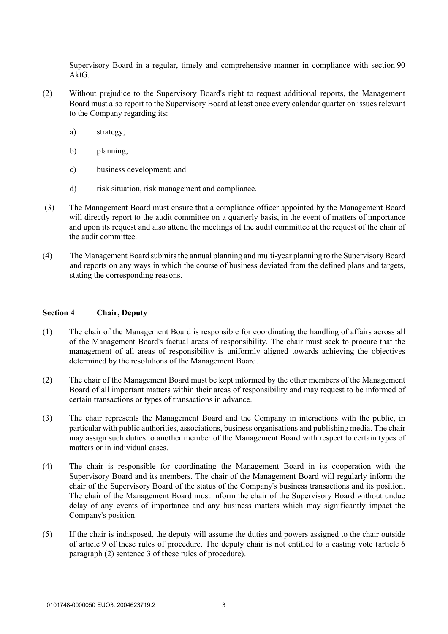Supervisory Board in a regular, timely and comprehensive manner in compliance with section 90 AktG.

- (2) Without prejudice to the Supervisory Board's right to request additional reports, the Management Board must also report to the Supervisory Board at least once every calendar quarter on issues relevant to the Company regarding its:
	- a) strategy;
	- b) planning;
	- c) business development; and
	- d) risk situation, risk management and compliance.
- (3) The Management Board must ensure that a compliance officer appointed by the Management Board will directly report to the audit committee on a quarterly basis, in the event of matters of importance and upon its request and also attend the meetings of the audit committee at the request of the chair of the audit committee.
- (4) The Management Board submits the annual planning and multi-year planning to the Supervisory Board and reports on any ways in which the course of business deviated from the defined plans and targets, stating the corresponding reasons.

#### **Section 4 Chair, Deputy**

- (1) The chair of the Management Board is responsible for coordinating the handling of affairs across all of the Management Board's factual areas of responsibility. The chair must seek to procure that the management of all areas of responsibility is uniformly aligned towards achieving the objectives determined by the resolutions of the Management Board.
- (2) The chair of the Management Board must be kept informed by the other members of the Management Board of all important matters within their areas of responsibility and may request to be informed of certain transactions or types of transactions in advance.
- (3) The chair represents the Management Board and the Company in interactions with the public, in particular with public authorities, associations, business organisations and publishing media. The chair may assign such duties to another member of the Management Board with respect to certain types of matters or in individual cases.
- (4) The chair is responsible for coordinating the Management Board in its cooperation with the Supervisory Board and its members. The chair of the Management Board will regularly inform the chair of the Supervisory Board of the status of the Company's business transactions and its position. The chair of the Management Board must inform the chair of the Supervisory Board without undue delay of any events of importance and any business matters which may significantly impact the Company's position.
- (5) If the chair is indisposed, the deputy will assume the duties and powers assigned to the chair outside of article 9 of these rules of procedure. The deputy chair is not entitled to a casting vote (article 6 paragraph (2) sentence 3 of these rules of procedure).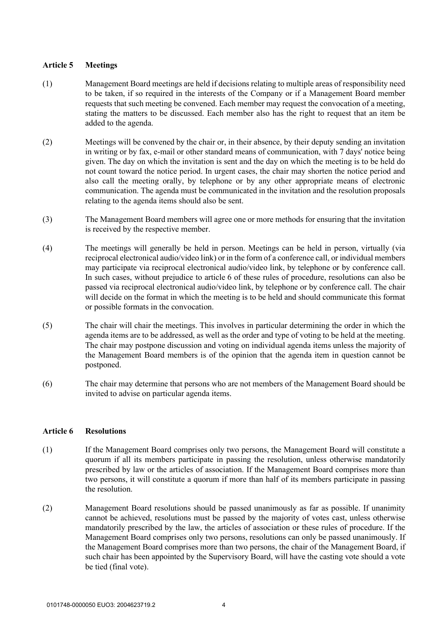## **Article 5 Meetings**

- (1) Management Board meetings are held if decisions relating to multiple areas of responsibility need to be taken, if so required in the interests of the Company or if a Management Board member requests that such meeting be convened. Each member may request the convocation of a meeting, stating the matters to be discussed. Each member also has the right to request that an item be added to the agenda.
- (2) Meetings will be convened by the chair or, in their absence, by their deputy sending an invitation in writing or by fax, e-mail or other standard means of communication, with 7 days' notice being given. The day on which the invitation is sent and the day on which the meeting is to be held do not count toward the notice period. In urgent cases, the chair may shorten the notice period and also call the meeting orally, by telephone or by any other appropriate means of electronic communication. The agenda must be communicated in the invitation and the resolution proposals relating to the agenda items should also be sent.
- (3) The Management Board members will agree one or more methods for ensuring that the invitation is received by the respective member.
- (4) The meetings will generally be held in person. Meetings can be held in person, virtually (via reciprocal electronical audio/video link) or in the form of a conference call, or individual members may participate via reciprocal electronical audio/video link, by telephone or by conference call. In such cases, without prejudice to article 6 of these rules of procedure, resolutions can also be passed via reciprocal electronical audio/video link, by telephone or by conference call. The chair will decide on the format in which the meeting is to be held and should communicate this format or possible formats in the convocation.
- (5) The chair will chair the meetings. This involves in particular determining the order in which the agenda items are to be addressed, as well as the order and type of voting to be held at the meeting. The chair may postpone discussion and voting on individual agenda items unless the majority of the Management Board members is of the opinion that the agenda item in question cannot be postponed.
- (6) The chair may determine that persons who are not members of the Management Board should be invited to advise on particular agenda items.

## **Article 6 Resolutions**

- (1) If the Management Board comprises only two persons, the Management Board will constitute a quorum if all its members participate in passing the resolution, unless otherwise mandatorily prescribed by law or the articles of association. If the Management Board comprises more than two persons, it will constitute a quorum if more than half of its members participate in passing the resolution.
- (2) Management Board resolutions should be passed unanimously as far as possible. If unanimity cannot be achieved, resolutions must be passed by the majority of votes cast, unless otherwise mandatorily prescribed by the law, the articles of association or these rules of procedure. If the Management Board comprises only two persons, resolutions can only be passed unanimously. If the Management Board comprises more than two persons, the chair of the Management Board, if such chair has been appointed by the Supervisory Board, will have the casting vote should a vote be tied (final vote).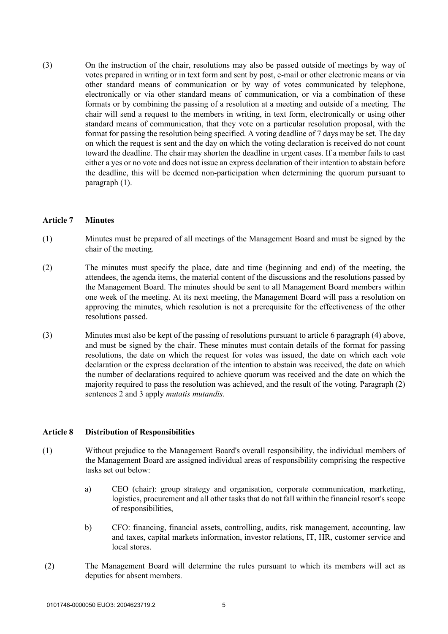(3) On the instruction of the chair, resolutions may also be passed outside of meetings by way of votes prepared in writing or in text form and sent by post, e-mail or other electronic means or via other standard means of communication or by way of votes communicated by telephone, electronically or via other standard means of communication, or via a combination of these formats or by combining the passing of a resolution at a meeting and outside of a meeting. The chair will send a request to the members in writing, in text form, electronically or using other standard means of communication, that they vote on a particular resolution proposal, with the format for passing the resolution being specified. A voting deadline of 7 days may be set. The day on which the request is sent and the day on which the voting declaration is received do not count toward the deadline. The chair may shorten the deadline in urgent cases. If a member fails to cast either a yes or no vote and does not issue an express declaration of their intention to abstain before the deadline, this will be deemed non-participation when determining the quorum pursuant to paragraph (1).

#### **Article 7 Minutes**

- (1) Minutes must be prepared of all meetings of the Management Board and must be signed by the chair of the meeting.
- (2) The minutes must specify the place, date and time (beginning and end) of the meeting, the attendees, the agenda items, the material content of the discussions and the resolutions passed by the Management Board. The minutes should be sent to all Management Board members within one week of the meeting. At its next meeting, the Management Board will pass a resolution on approving the minutes, which resolution is not a prerequisite for the effectiveness of the other resolutions passed.
- (3) Minutes must also be kept of the passing of resolutions pursuant to article 6 paragraph (4) above, and must be signed by the chair. These minutes must contain details of the format for passing resolutions, the date on which the request for votes was issued, the date on which each vote declaration or the express declaration of the intention to abstain was received, the date on which the number of declarations required to achieve quorum was received and the date on which the majority required to pass the resolution was achieved, and the result of the voting. Paragraph (2) sentences 2 and 3 apply *mutatis mutandis*.

### **Article 8 Distribution of Responsibilities**

- (1) Without prejudice to the Management Board's overall responsibility, the individual members of the Management Board are assigned individual areas of responsibility comprising the respective tasks set out below:
	- a) CEO (chair): group strategy and organisation, corporate communication, marketing, logistics, procurement and all other tasks that do not fall within the financial resort's scope of responsibilities,
	- b) CFO: financing, financial assets, controlling, audits, risk management, accounting, law and taxes, capital markets information, investor relations, IT, HR, customer service and local stores.
- (2) The Management Board will determine the rules pursuant to which its members will act as deputies for absent members.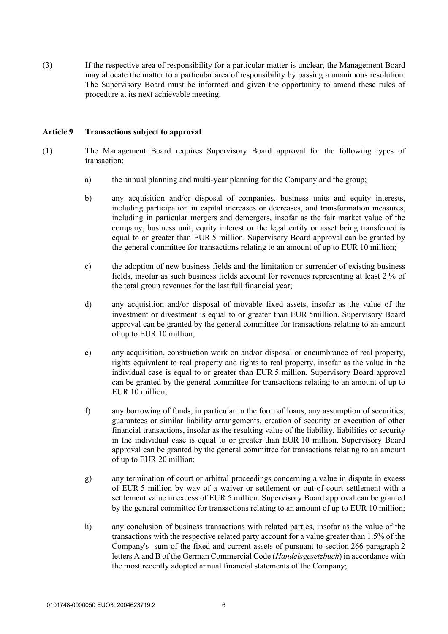(3) If the respective area of responsibility for a particular matter is unclear, the Management Board may allocate the matter to a particular area of responsibility by passing a unanimous resolution. The Supervisory Board must be informed and given the opportunity to amend these rules of procedure at its next achievable meeting.

#### **Article 9 Transactions subject to approval**

- (1) The Management Board requires Supervisory Board approval for the following types of transaction:
	- a) the annual planning and multi-year planning for the Company and the group;
	- b) any acquisition and/or disposal of companies, business units and equity interests, including participation in capital increases or decreases, and transformation measures, including in particular mergers and demergers, insofar as the fair market value of the company, business unit, equity interest or the legal entity or asset being transferred is equal to or greater than EUR 5 million. Supervisory Board approval can be granted by the general committee for transactions relating to an amount of up to EUR 10 million;
	- c) the adoption of new business fields and the limitation or surrender of existing business fields, insofar as such business fields account for revenues representing at least 2 % of the total group revenues for the last full financial year;
	- d) any acquisition and/or disposal of movable fixed assets, insofar as the value of the investment or divestment is equal to or greater than EUR 5million. Supervisory Board approval can be granted by the general committee for transactions relating to an amount of up to EUR 10 million;
	- e) any acquisition, construction work on and/or disposal or encumbrance of real property, rights equivalent to real property and rights to real property, insofar as the value in the individual case is equal to or greater than EUR 5 million. Supervisory Board approval can be granted by the general committee for transactions relating to an amount of up to EUR 10 million;
	- f) any borrowing of funds, in particular in the form of loans, any assumption of securities, guarantees or similar liability arrangements, creation of security or execution of other financial transactions, insofar as the resulting value of the liability, liabilities or security in the individual case is equal to or greater than EUR 10 million. Supervisory Board approval can be granted by the general committee for transactions relating to an amount of up to EUR 20 million;
	- g) any termination of court or arbitral proceedings concerning a value in dispute in excess of EUR 5 million by way of a waiver or settlement or out-of-court settlement with a settlement value in excess of EUR 5 million. Supervisory Board approval can be granted by the general committee for transactions relating to an amount of up to EUR 10 million;
	- h) any conclusion of business transactions with related parties, insofar as the value of the transactions with the respective related party account for a value greater than 1.5% of the Company's sum of the fixed and current assets of pursuant to section 266 paragraph 2 letters A and B of the German Commercial Code (*Handelsgesetzbuch*) in accordance with the most recently adopted annual financial statements of the Company;